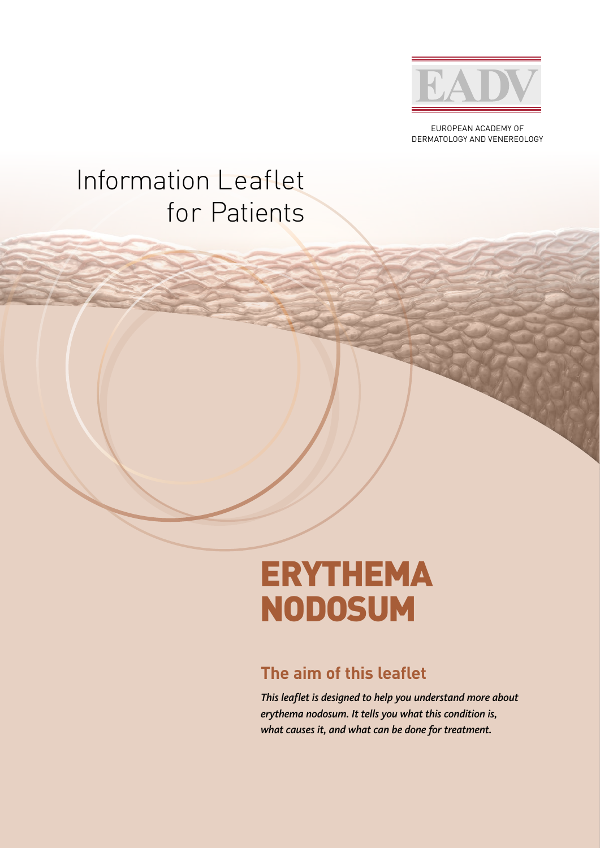

EUROPEAN ACADEMY OF DERMATOLOGY AND VENEREOLOGY

## Information Leaflet for Patients

# ERYTHEMA NODOSUM

### **The aim of this leaflet**

*This leaflet is designed to help you understand more about erythema nodosum. It tells you what this condition is, what causes it, and what can be done for treatment.*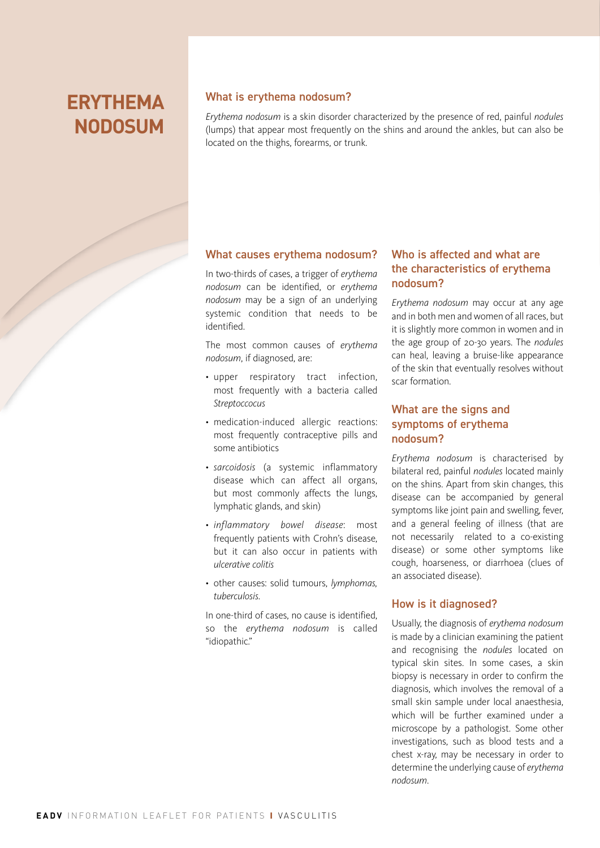## **ERYTHEMA NODOSUM**

#### What is erythema nodosum?

*Erythema nodosum* is a skin disorder characterized by the presence of red, painful *nodules* (lumps) that appear most frequently on the shins and around the ankles, but can also be located on the thighs, forearms, or trunk.

#### What causes erythema nodosum?

In two-thirds of cases, a trigger of *erythema nodosum* can be identified, or *erythema nodosum* may be a sign of an underlying systemic condition that needs to be identified.

The most common causes of *erythema nodosum*, if diagnosed, are:

- upper respiratory tract infection, most frequently with a bacteria called *Streptoccocus*
- medication-induced allergic reactions: most frequently contraceptive pills and some antibiotics
- *sarcoidosis* (a systemic inflammatory disease which can affect all organs, but most commonly affects the lungs, lymphatic glands, and skin)
- *inflammatory bowel disease*: most frequently patients with Crohn's disease, but it can also occur in patients with *ulcerative colitis*
- other causes: solid tumours, *lymphomas, tuberculosis*.

In one-third of cases, no cause is identified, so the *erythema nodosum* is called "idiopathic."

#### Who is affected and what are the characteristics of erythema nodosum?

*Erythema nodosum* may occur at any age and in both men and women of all races, but it is slightly more common in women and in the age group of 20-30 years. The *nodules*  can heal, leaving a bruise-like appearance of the skin that eventually resolves without scar formation.

#### What are the signs and symptoms of erythema nodosum?

*Erythema nodosum* is characterised by bilateral red, painful *nodules* located mainly on the shins. Apart from skin changes, this disease can be accompanied by general symptoms like joint pain and swelling, fever, and a general feeling of illness (that are not necessarily related to a co-existing disease) or some other symptoms like cough, hoarseness, or diarrhoea (clues of an associated disease).

#### How is it diagnosed?

Usually, the diagnosis of *erythema nodosum*  is made by a clinician examining the patient and recognising the *nodules* located on typical skin sites. In some cases, a skin biopsy is necessary in order to confirm the diagnosis, which involves the removal of a small skin sample under local anaesthesia, which will be further examined under a microscope by a pathologist. Some other investigations, such as blood tests and a chest x-ray, may be necessary in order to determine the underlying cause of *erythema nodosum*.